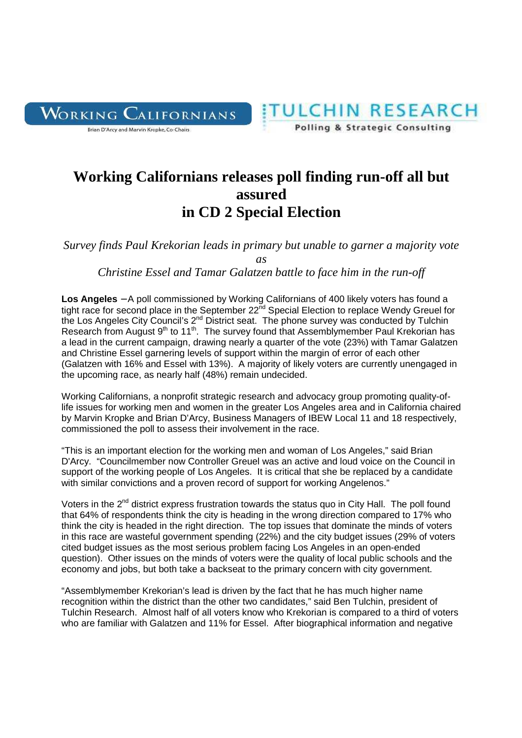

ULCHIN RESEARCH Polling & Strategic Consulting

## **Working Californians releases poll finding run-off all but assured in CD 2 Special Election**

*Survey finds Paul Krekorian leads in primary but unable to garner a majority vote as*

*Christine Essel and Tamar Galatzen battle to face him in the run-off* 

**Los Angeles** − A poll commissioned by Working Californians of 400 likely voters has found a tight race for second place in the September 22<sup>nd</sup> Special Election to replace Wendy Greuel for the Los Angeles City Council's 2<sup>nd</sup> District seat. The phone survey was conducted by Tulchin Research from August 9<sup>th</sup> to 11<sup>th</sup>. The survey found that Assemblymember Paul Krekorian has a lead in the current campaign, drawing nearly a quarter of the vote (23%) with Tamar Galatzen and Christine Essel garnering levels of support within the margin of error of each other (Galatzen with 16% and Essel with 13%). A majority of likely voters are currently unengaged in the upcoming race, as nearly half (48%) remain undecided.

Working Californians, a nonprofit strategic research and advocacy group promoting quality-oflife issues for working men and women in the greater Los Angeles area and in California chaired by Marvin Kropke and Brian D'Arcy, Business Managers of IBEW Local 11 and 18 respectively, commissioned the poll to assess their involvement in the race.

"This is an important election for the working men and woman of Los Angeles," said Brian D'Arcy. "Councilmember now Controller Greuel was an active and loud voice on the Council in support of the working people of Los Angeles. It is critical that she be replaced by a candidate with similar convictions and a proven record of support for working Angelenos."

Voters in the 2<sup>nd</sup> district express frustration towards the status quo in City Hall. The poll found that 64% of respondents think the city is heading in the wrong direction compared to 17% who think the city is headed in the right direction. The top issues that dominate the minds of voters in this race are wasteful government spending (22%) and the city budget issues (29% of voters cited budget issues as the most serious problem facing Los Angeles in an open-ended question). Other issues on the minds of voters were the quality of local public schools and the economy and jobs, but both take a backseat to the primary concern with city government.

"Assemblymember Krekorian's lead is driven by the fact that he has much higher name recognition within the district than the other two candidates," said Ben Tulchin, president of Tulchin Research. Almost half of all voters know who Krekorian is compared to a third of voters who are familiar with Galatzen and 11% for Essel. After biographical information and negative